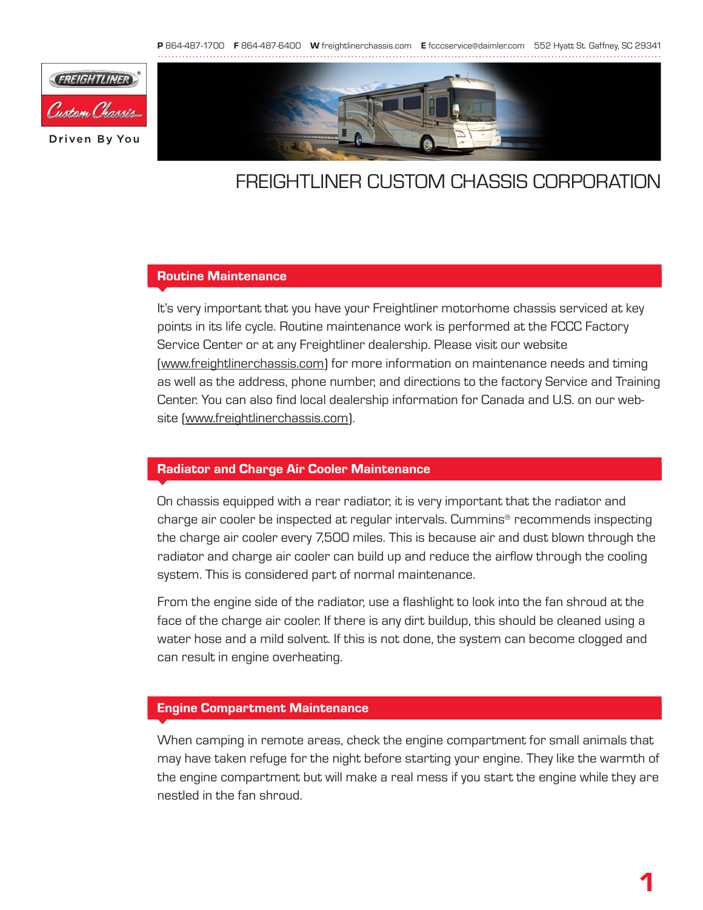

# freightliner CUSTOM chassis Corporation

### Routine Maintenance

It's very important that you have your Freightliner motorhome chassis serviced at key points in its life cycle. Routine maintenance work is performed at the FCCC Factory Service Center or at any Freightliner dealership. Please visit our website [\(www.freightlinerchassis.com](http://www.freightlinerchassis.com/)) for more information on maintenance needs and timing as well as the address, phone number, and directions to the factory Service and Training Center. You can also find local dealership information for Canada and U.S. on our website ([www.freightlinerchassis.com\)](http://www.freightlinerchassis.com/).

## Radiator and Charge Air Cooler Maintenance

On chassis equipped with a rear radiator, it is very important that the radiator and charge air cooler be inspected at regular intervals. Cummins® recommends inspecting the charge air cooler every 7,500 miles. This is because air and dust blown through the radiator and charge air cooler can build up and reduce the airflow through the cooling system. This is considered part of normal maintenance.

From the engine side of the radiator, use a flashlight to look into the fan shroud at the face of the charge air cooler. If there is any dirt buildup, this should be cleaned using a water hose and a mild solvent. If this is not done, the system can become clogged and can result in engine overheating.

#### Engine Compartment Maintenance

When camping in remote areas, check the engine compartment for small animals that may have taken refuge for the night before starting your engine. They like the warmth of the engine compartment but will make a real mess if you start the engine while they are nestled in the fan shroud.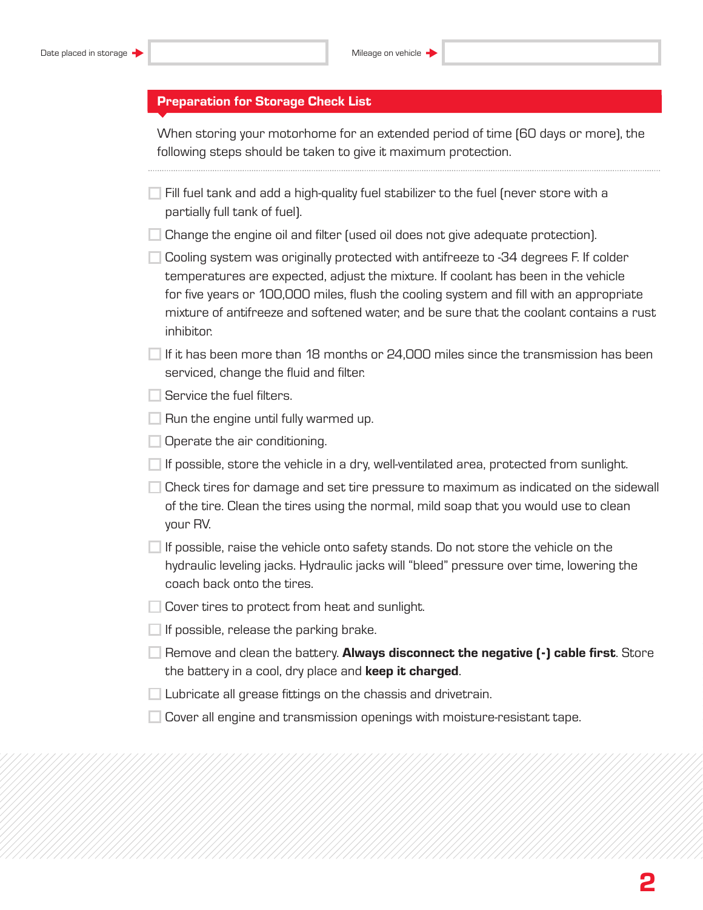|  |  | <b>Preparation for Storage Check List</b> |  |  |  |  |  |
|--|--|-------------------------------------------|--|--|--|--|--|
|  |  |                                           |  |  |  |  |  |

When storing your motorhome for an extended period of time (60 days or more), the following steps should be taken to give it maximum protection.

| $\overline{ }$ Fill fuel tank and add a high-quality fuel stabilizer to the fuel (never store with a |  |  |
|------------------------------------------------------------------------------------------------------|--|--|
| partially full tank of fuel).                                                                        |  |  |

 $\Box$  Change the engine oil and filter (used oil does not give adequate protection).

 $\Box$  Cooling system was originally protected with antifreeze to -34 degrees F. If colder temperatures are expected, adjust the mixture. If coolant has been in the vehicle for five years or 100,000 miles, flush the cooling system and fill with an appropriate mixture of antifreeze and softened water, and be sure that the coolant contains a rust inhibitor.

 $\Box$  If it has been more than 18 months or 24,000 miles since the transmission has been serviced, change the fluid and filter.

Service the fuel filters.

 $\Box$  Run the engine until fully warmed up.

 $\Box$  Operate the air conditioning.

 $\Box$  If possible, store the vehicle in a dry, well-ventilated area, protected from sunlight.

 $\Box$  Check tires for damage and set tire pressure to maximum as indicated on the sidewall of the tire. Clean the tires using the normal, mild soap that you would use to clean your RV.

 $\Box$  If possible, raise the vehicle onto safety stands. Do not store the vehicle on the hydraulic leveling jacks. Hydraulic jacks will "bleed" pressure over time, lowering the coach back onto the tires.

Cover tires to protect from heat and sunlight.

 $\Box$  If possible, release the parking brake.

**Remove and clean the battery. Always disconnect the negative**  $\left[\cdot\right]$  **cable first.** Store the battery in a cool, dry place and keep it charged.

 $\Box$  Lubricate all grease fittings on the chassis and drivetrain.

 $\Box$  Cover all engine and transmission openings with moisture-resistant tape.